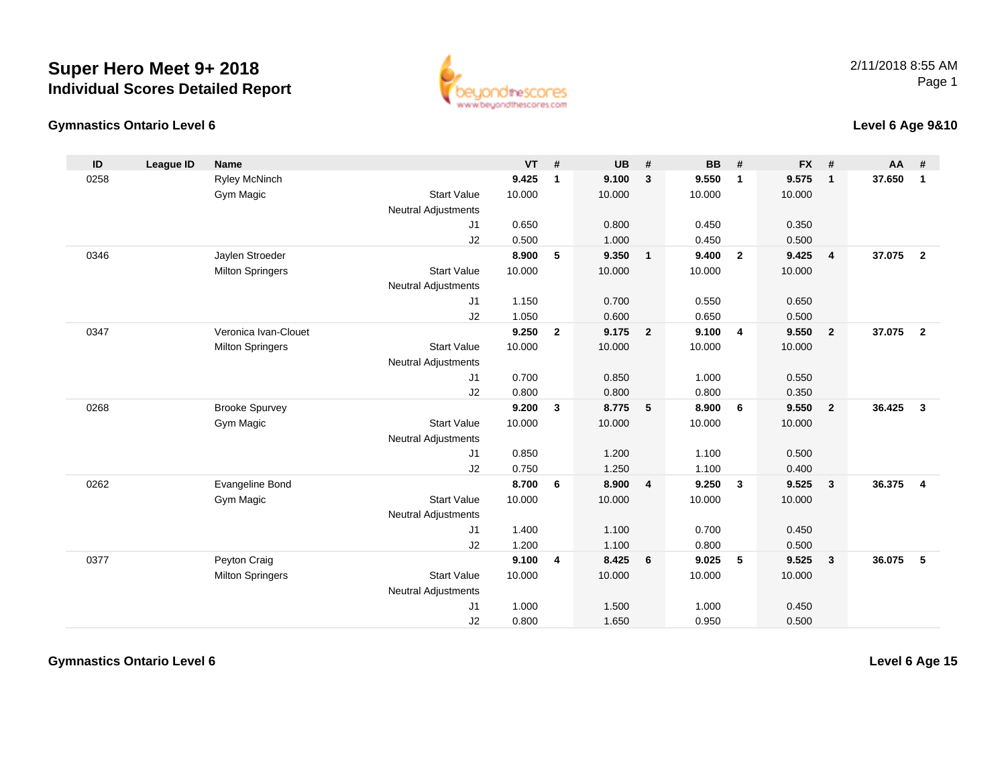



#### **Level 6 Age 9&10**

| ID   | League ID | <b>Name</b>             |                            | <b>VT</b> | #              | <b>UB</b> | #                       | <b>BB</b> | #               | <b>FX</b> | #              | AA     | #                       |
|------|-----------|-------------------------|----------------------------|-----------|----------------|-----------|-------------------------|-----------|-----------------|-----------|----------------|--------|-------------------------|
| 0258 |           | Ryley McNinch           |                            | 9.425     | $\mathbf{1}$   | 9.100     | $\mathbf{3}$            | 9.550     | $\mathbf{1}$    | 9.575     | $\mathbf{1}$   | 37.650 | $\mathbf{1}$            |
|      |           | Gym Magic               | <b>Start Value</b>         | 10.000    |                | 10.000    |                         | 10.000    |                 | 10.000    |                |        |                         |
|      |           |                         | <b>Neutral Adjustments</b> |           |                |           |                         |           |                 |           |                |        |                         |
|      |           |                         | J1                         | 0.650     |                | 0.800     |                         | 0.450     |                 | 0.350     |                |        |                         |
|      |           |                         | J2                         | 0.500     |                | 1.000     |                         | 0.450     |                 | 0.500     |                |        |                         |
| 0346 |           | Jaylen Stroeder         |                            | 8.900     | 5              | 9.350     | $\mathbf{1}$            | 9.400     | $\overline{2}$  | 9.425     | $\overline{4}$ | 37.075 | $\overline{2}$          |
|      |           | <b>Milton Springers</b> | <b>Start Value</b>         | 10.000    |                | 10.000    |                         | 10.000    |                 | 10.000    |                |        |                         |
|      |           |                         | <b>Neutral Adjustments</b> |           |                |           |                         |           |                 |           |                |        |                         |
|      |           |                         | J1                         | 1.150     |                | 0.700     |                         | 0.550     |                 | 0.650     |                |        |                         |
|      |           |                         | J2                         | 1.050     |                | 0.600     |                         | 0.650     |                 | 0.500     |                |        |                         |
| 0347 |           | Veronica Ivan-Clouet    |                            | 9.250     | $\overline{2}$ | 9.175     | $\overline{2}$          | 9.100     | $\overline{4}$  | 9.550     | $\overline{2}$ | 37.075 | $\overline{2}$          |
|      |           | <b>Milton Springers</b> | <b>Start Value</b>         | 10.000    |                | 10.000    |                         | 10.000    |                 | 10.000    |                |        |                         |
|      |           |                         | <b>Neutral Adjustments</b> |           |                |           |                         |           |                 |           |                |        |                         |
|      |           |                         | J1                         | 0.700     |                | 0.850     |                         | 1.000     |                 | 0.550     |                |        |                         |
|      |           |                         | J2                         | 0.800     |                | 0.800     |                         | 0.800     |                 | 0.350     |                |        |                         |
| 0268 |           | <b>Brooke Spurvey</b>   |                            | 9.200     | 3              | 8.775     | 5                       | 8.900     | 6               | 9.550     | $\overline{2}$ | 36.425 | $\overline{\mathbf{3}}$ |
|      |           | Gym Magic               | <b>Start Value</b>         | 10.000    |                | 10.000    |                         | 10.000    |                 | 10.000    |                |        |                         |
|      |           |                         | <b>Neutral Adjustments</b> |           |                |           |                         |           |                 |           |                |        |                         |
|      |           |                         | J1                         | 0.850     |                | 1.200     |                         | 1.100     |                 | 0.500     |                |        |                         |
|      |           |                         | J2                         | 0.750     |                | 1.250     |                         | 1.100     |                 | 0.400     |                |        |                         |
| 0262 |           | Evangeline Bond         |                            | 8.700     | 6              | 8.900     | $\overline{\mathbf{4}}$ | 9.250     | $\mathbf{3}$    | 9.525     | $\mathbf{3}$   | 36.375 | $\overline{\mathbf{4}}$ |
|      |           | Gym Magic               | <b>Start Value</b>         | 10.000    |                | 10.000    |                         | 10.000    |                 | 10.000    |                |        |                         |
|      |           |                         | <b>Neutral Adjustments</b> |           |                |           |                         |           |                 |           |                |        |                         |
|      |           |                         | J1                         | 1.400     |                | 1.100     |                         | 0.700     |                 | 0.450     |                |        |                         |
|      |           |                         | J2                         | 1.200     |                | 1.100     |                         | 0.800     |                 | 0.500     |                |        |                         |
| 0377 |           | Peyton Craig            |                            | 9.100     | 4              | 8.425     | 6                       | 9.025     | $5\phantom{.0}$ | 9.525     | $\mathbf{3}$   | 36.075 | -5                      |
|      |           | <b>Milton Springers</b> | <b>Start Value</b>         | 10.000    |                | 10.000    |                         | 10.000    |                 | 10.000    |                |        |                         |
|      |           |                         | <b>Neutral Adjustments</b> |           |                |           |                         |           |                 |           |                |        |                         |
|      |           |                         | J1                         | 1.000     |                | 1.500     |                         | 1.000     |                 | 0.450     |                |        |                         |
|      |           |                         | J2                         | 0.800     |                | 1.650     |                         | 0.950     |                 | 0.500     |                |        |                         |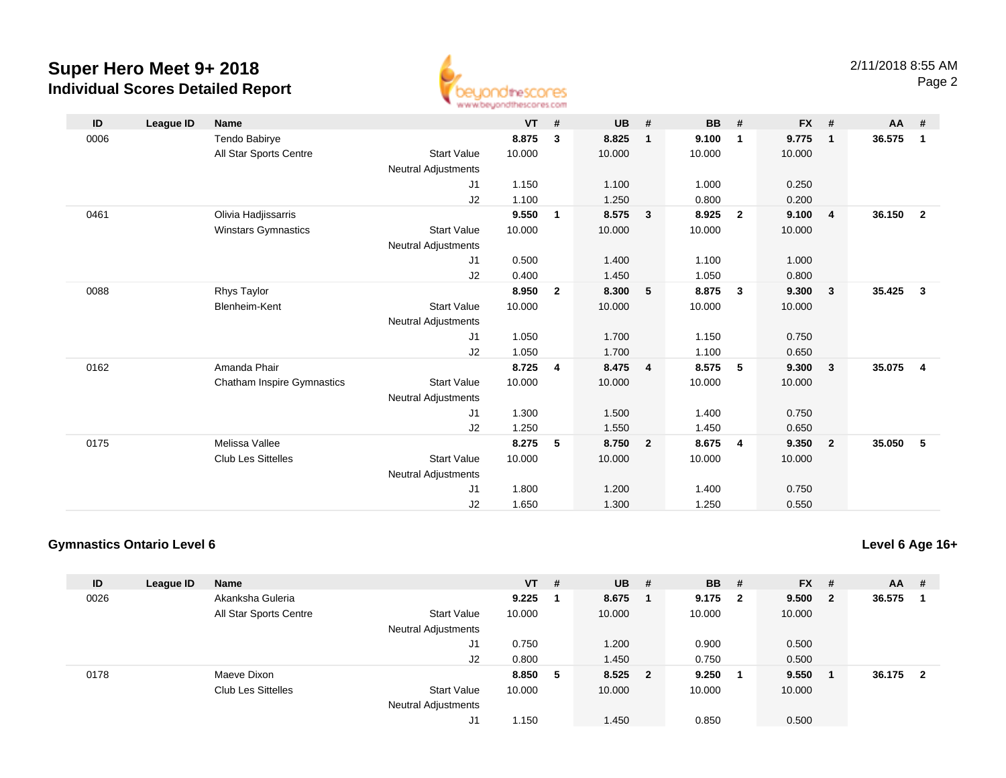

| ID   | League ID | <b>Name</b>                       |                            | <b>VT</b> | #              | <b>UB</b> | #              | <b>BB</b> | #              | <b>FX</b> | #                       | AA     | #                       |
|------|-----------|-----------------------------------|----------------------------|-----------|----------------|-----------|----------------|-----------|----------------|-----------|-------------------------|--------|-------------------------|
| 0006 |           | Tendo Babirye                     |                            | 8.875     | 3              | 8.825     | $\mathbf{1}$   | 9.100     | 1              | 9.775     | $\overline{\mathbf{1}}$ | 36.575 | $\overline{1}$          |
|      |           | All Star Sports Centre            | <b>Start Value</b>         | 10.000    |                | 10.000    |                | 10.000    |                | 10.000    |                         |        |                         |
|      |           |                                   | Neutral Adjustments        |           |                |           |                |           |                |           |                         |        |                         |
|      |           |                                   | J1                         | 1.150     |                | 1.100     |                | 1.000     |                | 0.250     |                         |        |                         |
|      |           |                                   | J2                         | 1.100     |                | 1.250     |                | 0.800     |                | 0.200     |                         |        |                         |
| 0461 |           | Olivia Hadjissarris               |                            | 9.550     | 1              | 8.575     | 3              | 8.925     | $\overline{2}$ | 9.100     | $\overline{4}$          | 36.150 | $\overline{\mathbf{2}}$ |
|      |           | Winstars Gymnastics               | <b>Start Value</b>         | 10.000    |                | 10.000    |                | 10.000    |                | 10.000    |                         |        |                         |
|      |           |                                   | <b>Neutral Adjustments</b> |           |                |           |                |           |                |           |                         |        |                         |
|      |           |                                   | J1                         | 0.500     |                | 1.400     |                | 1.100     |                | 1.000     |                         |        |                         |
|      |           |                                   | J2                         | 0.400     |                | 1.450     |                | 1.050     |                | 0.800     |                         |        |                         |
| 0088 |           | <b>Rhys Taylor</b>                |                            | 8.950     | $\overline{2}$ | 8.300     | 5              | 8.875     | $\mathbf{3}$   | 9.300     | $\overline{\mathbf{3}}$ | 35.425 | $\overline{\mathbf{3}}$ |
|      |           | Blenheim-Kent                     | <b>Start Value</b>         | 10.000    |                | 10.000    |                | 10.000    |                | 10.000    |                         |        |                         |
|      |           |                                   | Neutral Adjustments        |           |                |           |                |           |                |           |                         |        |                         |
|      |           |                                   | J1                         | 1.050     |                | 1.700     |                | 1.150     |                | 0.750     |                         |        |                         |
|      |           |                                   | J2                         | 1.050     |                | 1.700     |                | 1.100     |                | 0.650     |                         |        |                         |
| 0162 |           | Amanda Phair                      |                            | 8.725     | 4              | 8.475     | $\overline{4}$ | 8.575     | 5              | 9.300     | $\overline{\mathbf{3}}$ | 35.075 | $\overline{\mathbf{4}}$ |
|      |           | <b>Chatham Inspire Gymnastics</b> | <b>Start Value</b>         | 10.000    |                | 10.000    |                | 10.000    |                | 10.000    |                         |        |                         |
|      |           |                                   | <b>Neutral Adjustments</b> |           |                |           |                |           |                |           |                         |        |                         |
|      |           |                                   | J1                         | 1.300     |                | 1.500     |                | 1.400     |                | 0.750     |                         |        |                         |
|      |           |                                   | J2                         | 1.250     |                | 1.550     |                | 1.450     |                | 0.650     |                         |        |                         |
| 0175 |           | Melissa Vallee                    |                            | 8.275     | 5              | 8.750     | $\overline{2}$ | 8.675     | $\overline{4}$ | 9.350     | $\overline{2}$          | 35.050 | 5                       |
|      |           | <b>Club Les Sittelles</b>         | <b>Start Value</b>         | 10.000    |                | 10.000    |                | 10.000    |                | 10.000    |                         |        |                         |
|      |           |                                   | <b>Neutral Adjustments</b> |           |                |           |                |           |                |           |                         |        |                         |
|      |           |                                   | J1                         | 1.800     |                | 1.200     |                | 1.400     |                | 0.750     |                         |        |                         |
|      |           |                                   | J2                         | 1.650     |                | 1.300     |                | 1.250     |                | 0.550     |                         |        |                         |

### **Gymnastics Ontario Level 6**

**Level 6 Age 16+**

| ID   | League ID | Name                      |                            | $VT$ # |   | <b>UB</b> | - # | <b>BB</b> | #   | <b>FX</b> | #            | $AA$ # |                |
|------|-----------|---------------------------|----------------------------|--------|---|-----------|-----|-----------|-----|-----------|--------------|--------|----------------|
| 0026 |           | Akanksha Guleria          |                            | 9.225  |   | 8.675     |     | 9.175     | - 2 | 9.500     | $\mathbf{2}$ | 36.575 |                |
|      |           | All Star Sports Centre    | <b>Start Value</b>         | 10.000 |   | 10.000    |     | 10.000    |     | 10.000    |              |        |                |
|      |           |                           | <b>Neutral Adjustments</b> |        |   |           |     |           |     |           |              |        |                |
|      |           |                           | J1                         | 0.750  |   | 1.200     |     | 0.900     |     | 0.500     |              |        |                |
|      |           |                           | J2                         | 0.800  |   | 1.450     |     | 0.750     |     | 0.500     |              |        |                |
| 0178 |           | Maeve Dixon               |                            | 8.850  | 5 | 8.525 2   |     | 9.250     |     | 9.550     |              | 36.175 | $\overline{2}$ |
|      |           | <b>Club Les Sittelles</b> | <b>Start Value</b>         | 10.000 |   | 10.000    |     | 10.000    |     | 10.000    |              |        |                |
|      |           |                           | <b>Neutral Adjustments</b> |        |   |           |     |           |     |           |              |        |                |
|      |           |                           | J1                         | 1.150  |   | 1.450     |     | 0.850     |     | 0.500     |              |        |                |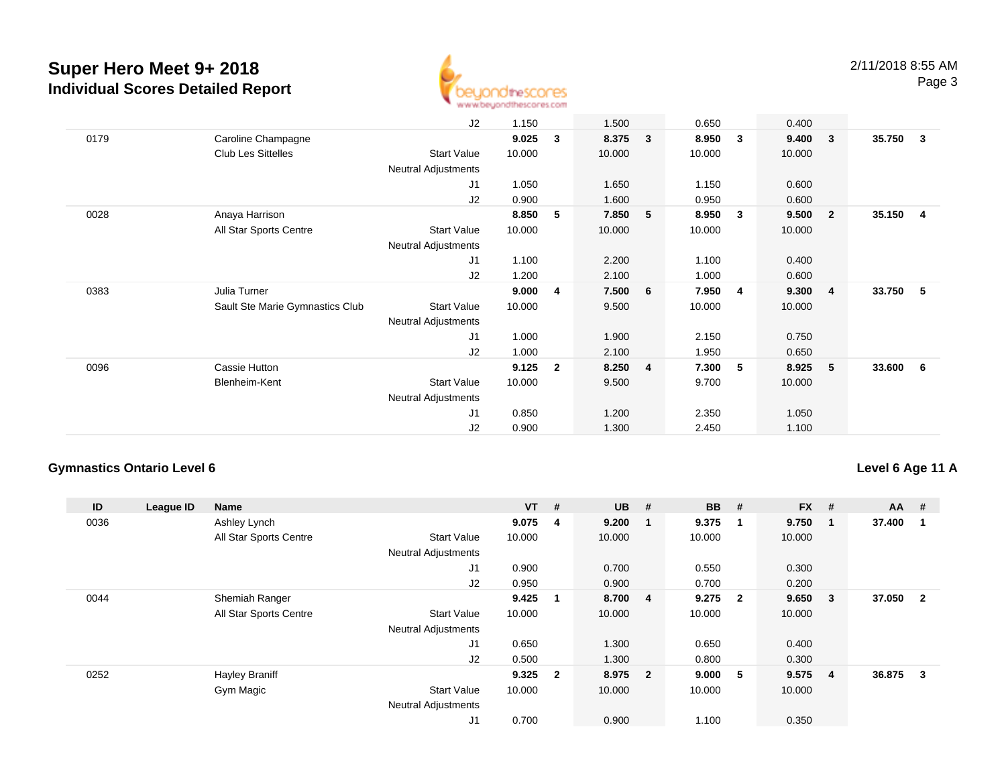

|      |                                 | J2                         | 1.150  |                | 1.500  |                         | 0.650  |                         | 0.400  |                         |        |    |
|------|---------------------------------|----------------------------|--------|----------------|--------|-------------------------|--------|-------------------------|--------|-------------------------|--------|----|
| 0179 | Caroline Champagne              |                            | 9.025  | 3              | 8.375  | $\overline{\mathbf{3}}$ | 8.950  | $\overline{\mathbf{3}}$ | 9.400  | $\overline{\mathbf{3}}$ | 35.750 | 3  |
|      | <b>Club Les Sittelles</b>       | Start Value                | 10.000 |                | 10.000 |                         | 10.000 |                         | 10.000 |                         |        |    |
|      |                                 | Neutral Adjustments        |        |                |        |                         |        |                         |        |                         |        |    |
|      |                                 | J1                         | 1.050  |                | 1.650  |                         | 1.150  |                         | 0.600  |                         |        |    |
|      |                                 | J2                         | 0.900  |                | 1.600  |                         | 0.950  |                         | 0.600  |                         |        |    |
| 0028 | Anaya Harrison                  |                            | 8.850  | 5              | 7.850  | 5                       | 8.950  | $\overline{\mathbf{3}}$ | 9.500  | $\overline{2}$          | 35.150 | 4  |
|      | All Star Sports Centre          | Start Value                | 10.000 |                | 10.000 |                         | 10.000 |                         | 10.000 |                         |        |    |
|      |                                 | <b>Neutral Adjustments</b> |        |                |        |                         |        |                         |        |                         |        |    |
|      |                                 | J <sub>1</sub>             | 1.100  |                | 2.200  |                         | 1.100  |                         | 0.400  |                         |        |    |
|      |                                 | J2                         | 1.200  |                | 2.100  |                         | 1.000  |                         | 0.600  |                         |        |    |
| 0383 | Julia Turner                    |                            | 9.000  | 4              | 7.500  | 6                       | 7.950  | $\overline{\mathbf{4}}$ | 9.300  | -4                      | 33.750 | -5 |
|      | Sault Ste Marie Gymnastics Club | Start Value                | 10.000 |                | 9.500  |                         | 10.000 |                         | 10.000 |                         |        |    |
|      |                                 | <b>Neutral Adjustments</b> |        |                |        |                         |        |                         |        |                         |        |    |
|      |                                 | J1                         | 1.000  |                | 1.900  |                         | 2.150  |                         | 0.750  |                         |        |    |
|      |                                 | J2                         | 1.000  |                | 2.100  |                         | 1.950  |                         | 0.650  |                         |        |    |
| 0096 | Cassie Hutton                   |                            | 9.125  | $\overline{2}$ | 8.250  | $\overline{\mathbf{4}}$ | 7.300  | - 5                     | 8.925  | - 5                     | 33.600 | 6  |
|      | Blenheim-Kent                   | Start Value                | 10.000 |                | 9.500  |                         | 9.700  |                         | 10.000 |                         |        |    |
|      |                                 | Neutral Adjustments        |        |                |        |                         |        |                         |        |                         |        |    |
|      |                                 | J1                         | 0.850  |                | 1.200  |                         | 2.350  |                         | 1.050  |                         |        |    |
|      |                                 | J2                         | 0.900  |                | 1.300  |                         | 2.450  |                         | 1.100  |                         |        |    |

### **Gymnastics Ontario Level 6**

### **Level 6 Age 11 A**

| ID   | League ID | <b>Name</b>            |                            | $VT$ # |                         | <b>UB</b> | #              | <b>BB</b> | #                       | <b>FX</b> | #            | $AA$ # |                |
|------|-----------|------------------------|----------------------------|--------|-------------------------|-----------|----------------|-----------|-------------------------|-----------|--------------|--------|----------------|
| 0036 |           | Ashley Lynch           |                            | 9.075  | 4                       | 9.200     |                | 9.375     | $\mathbf{1}$            | 9.750     | -1           | 37.400 |                |
|      |           | All Star Sports Centre | <b>Start Value</b>         | 10.000 |                         | 10.000    |                | 10.000    |                         | 10.000    |              |        |                |
|      |           |                        | <b>Neutral Adjustments</b> |        |                         |           |                |           |                         |           |              |        |                |
|      |           |                        | J1                         | 0.900  |                         | 0.700     |                | 0.550     |                         | 0.300     |              |        |                |
|      |           |                        | J2                         | 0.950  |                         | 0.900     |                | 0.700     |                         | 0.200     |              |        |                |
| 0044 |           | Shemiah Ranger         |                            | 9.425  |                         | 8.700     | $\overline{4}$ | 9.275     | $\overline{\mathbf{2}}$ | 9.650     | $\mathbf{3}$ | 37.050 | $\overline{2}$ |
|      |           | All Star Sports Centre | <b>Start Value</b>         | 10.000 |                         | 10.000    |                | 10.000    |                         | 10.000    |              |        |                |
|      |           |                        | <b>Neutral Adjustments</b> |        |                         |           |                |           |                         |           |              |        |                |
|      |           |                        | J1                         | 0.650  |                         | 1.300     |                | 0.650     |                         | 0.400     |              |        |                |
|      |           |                        | J2                         | 0.500  |                         | 1.300     |                | 0.800     |                         | 0.300     |              |        |                |
| 0252 |           | <b>Hayley Braniff</b>  |                            | 9.325  | $\overline{\mathbf{2}}$ | 8.975 2   |                | 9.000     | - 5                     | 9.575     | -4           | 36.875 | 3              |
|      |           | Gym Magic              | <b>Start Value</b>         | 10.000 |                         | 10.000    |                | 10.000    |                         | 10.000    |              |        |                |
|      |           |                        | <b>Neutral Adjustments</b> |        |                         |           |                |           |                         |           |              |        |                |
|      |           |                        | J1                         | 0.700  |                         | 0.900     |                | 1.100     |                         | 0.350     |              |        |                |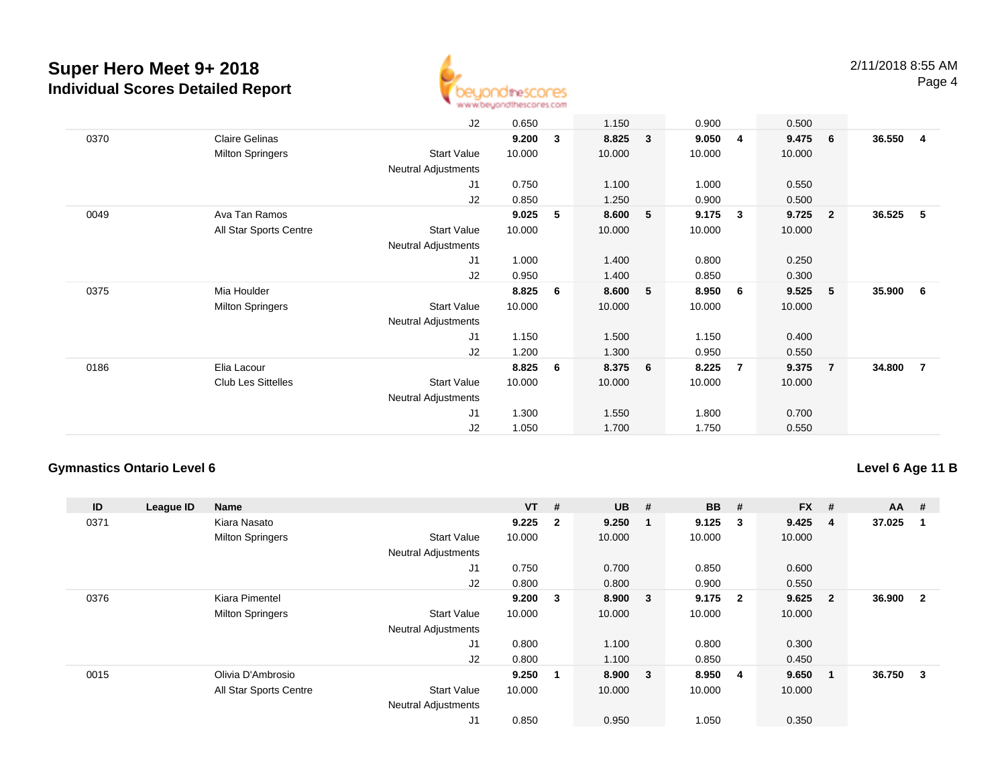

|      |                         | J2                         | 0.650  |   | 1.150  |              | 0.900  |                         | 0.500  |                         |        |                |
|------|-------------------------|----------------------------|--------|---|--------|--------------|--------|-------------------------|--------|-------------------------|--------|----------------|
| 0370 | <b>Claire Gelinas</b>   |                            | 9.200  | 3 | 8.825  | $\mathbf{3}$ | 9.050  | $\overline{4}$          | 9.475  | - 6                     | 36.550 | -4             |
|      | <b>Milton Springers</b> | Start Value                | 10.000 |   | 10.000 |              | 10.000 |                         | 10.000 |                         |        |                |
|      |                         | <b>Neutral Adjustments</b> |        |   |        |              |        |                         |        |                         |        |                |
|      |                         | J1                         | 0.750  |   | 1.100  |              | 1.000  |                         | 0.550  |                         |        |                |
|      |                         | J2                         | 0.850  |   | 1.250  |              | 0.900  |                         | 0.500  |                         |        |                |
| 0049 | Ava Tan Ramos           |                            | 9.025  | 5 | 8.600  | 5            | 9.175  | $\overline{\mathbf{3}}$ | 9.725  | $\overline{\mathbf{2}}$ | 36.525 | -5             |
|      | All Star Sports Centre  | <b>Start Value</b>         | 10.000 |   | 10.000 |              | 10.000 |                         | 10.000 |                         |        |                |
|      |                         | <b>Neutral Adjustments</b> |        |   |        |              |        |                         |        |                         |        |                |
|      |                         | J1                         | 1.000  |   | 1.400  |              | 0.800  |                         | 0.250  |                         |        |                |
|      |                         | J2                         | 0.950  |   | 1.400  |              | 0.850  |                         | 0.300  |                         |        |                |
| 0375 | Mia Houlder             |                            | 8.825  | 6 | 8.600  | 5            | 8.950  | 6                       | 9.525  | - 5                     | 35.900 | - 6            |
|      | <b>Milton Springers</b> | <b>Start Value</b>         | 10.000 |   | 10.000 |              | 10.000 |                         | 10.000 |                         |        |                |
|      |                         | Neutral Adjustments        |        |   |        |              |        |                         |        |                         |        |                |
|      |                         | J1                         | 1.150  |   | 1.500  |              | 1.150  |                         | 0.400  |                         |        |                |
|      |                         | J2                         | 1.200  |   | 1.300  |              | 0.950  |                         | 0.550  |                         |        |                |
| 0186 | Elia Lacour             |                            | 8.825  | 6 | 8.375  | 6            | 8.225  | $\overline{7}$          | 9.375  | $\overline{7}$          | 34.800 | $\overline{7}$ |
|      | Club Les Sittelles      | <b>Start Value</b>         | 10.000 |   | 10.000 |              | 10.000 |                         | 10.000 |                         |        |                |
|      |                         | Neutral Adjustments        |        |   |        |              |        |                         |        |                         |        |                |
|      |                         | J1                         | 1.300  |   | 1.550  |              | 1.800  |                         | 0.700  |                         |        |                |
|      |                         | J2                         | 1.050  |   | 1.700  |              | 1.750  |                         | 0.550  |                         |        |                |

### **Gymnastics Ontario Level 6**

### **Level 6 Age 11 B**

| ID   | League ID | <b>Name</b>             |                            | $VT$ # |                | <b>UB</b> | #                       | <b>BB</b> | #                       | <b>FX</b> | #              | <b>AA</b> | #              |
|------|-----------|-------------------------|----------------------------|--------|----------------|-----------|-------------------------|-----------|-------------------------|-----------|----------------|-----------|----------------|
| 0371 |           | Kiara Nasato            |                            | 9.225  | $\overline{2}$ | 9.250     |                         | 9.125     | $\mathbf{3}$            | 9.425     | -4             | 37.025    |                |
|      |           | <b>Milton Springers</b> | <b>Start Value</b>         | 10.000 |                | 10.000    |                         | 10.000    |                         | 10.000    |                |           |                |
|      |           |                         | <b>Neutral Adjustments</b> |        |                |           |                         |           |                         |           |                |           |                |
|      |           |                         | J1                         | 0.750  |                | 0.700     |                         | 0.850     |                         | 0.600     |                |           |                |
|      |           |                         | J2                         | 0.800  |                | 0.800     |                         | 0.900     |                         | 0.550     |                |           |                |
| 0376 |           | Kiara Pimentel          |                            | 9.200  | 3              | 8.900     | $\overline{\mathbf{3}}$ | 9.175     | $\overline{\mathbf{2}}$ | 9.625     | $\overline{2}$ | 36.900    | $\overline{2}$ |
|      |           | <b>Milton Springers</b> | <b>Start Value</b>         | 10.000 |                | 10.000    |                         | 10.000    |                         | 10.000    |                |           |                |
|      |           |                         | <b>Neutral Adjustments</b> |        |                |           |                         |           |                         |           |                |           |                |
|      |           |                         | J1                         | 0.800  |                | 1.100     |                         | 0.800     |                         | 0.300     |                |           |                |
|      |           |                         | J2                         | 0.800  |                | 1.100     |                         | 0.850     |                         | 0.450     |                |           |                |
| 0015 |           | Olivia D'Ambrosio       |                            | 9.250  | $\mathbf 1$    | 8.900     | $\overline{\mathbf{3}}$ | 8.950     | $\overline{4}$          | 9.650     | $\mathbf{1}$   | 36.750    | 3              |
|      |           | All Star Sports Centre  | <b>Start Value</b>         | 10.000 |                | 10.000    |                         | 10.000    |                         | 10.000    |                |           |                |
|      |           |                         | <b>Neutral Adjustments</b> |        |                |           |                         |           |                         |           |                |           |                |
|      |           |                         | J <sub>1</sub>             | 0.850  |                | 0.950     |                         | 1.050     |                         | 0.350     |                |           |                |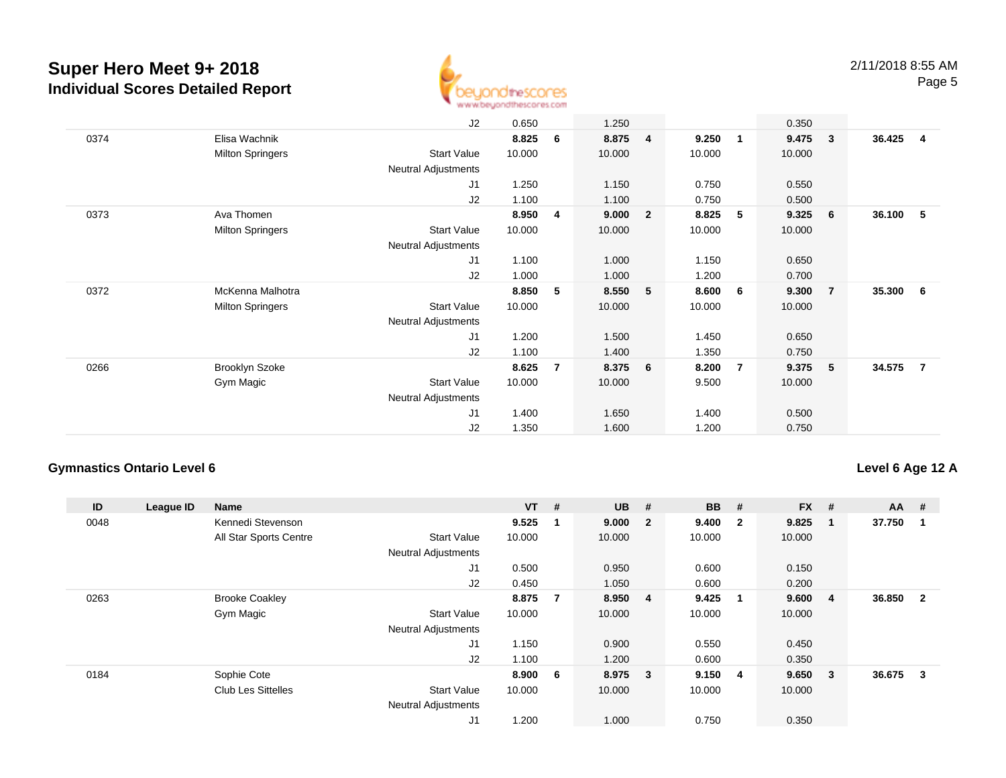

|      |                         | J2                         | 0.650  |                | 1.250   |                |        |                         | 0.350  |                         |        |                |
|------|-------------------------|----------------------------|--------|----------------|---------|----------------|--------|-------------------------|--------|-------------------------|--------|----------------|
| 0374 | Elisa Wachnik           |                            | 8.825  | 6              | 8.875   | $\overline{4}$ | 9.250  | $\overline{\mathbf{1}}$ | 9.475  | $\overline{\mathbf{3}}$ | 36.425 | $\overline{4}$ |
|      | <b>Milton Springers</b> | <b>Start Value</b>         | 10.000 |                | 10.000  |                | 10.000 |                         | 10.000 |                         |        |                |
|      |                         | <b>Neutral Adjustments</b> |        |                |         |                |        |                         |        |                         |        |                |
|      |                         | J1                         | 1.250  |                | 1.150   |                | 0.750  |                         | 0.550  |                         |        |                |
|      |                         | J2                         | 1.100  |                | 1.100   |                | 0.750  |                         | 0.500  |                         |        |                |
| 0373 | Ava Thomen              |                            | 8.950  | 4              | 9.000   | $\overline{2}$ | 8.825  | 5                       | 9.325  | 6                       | 36.100 | 5              |
|      | <b>Milton Springers</b> | <b>Start Value</b>         | 10.000 |                | 10.000  |                | 10.000 |                         | 10.000 |                         |        |                |
|      |                         | Neutral Adjustments        |        |                |         |                |        |                         |        |                         |        |                |
|      |                         | J1                         | 1.100  |                | 1.000   |                | 1.150  |                         | 0.650  |                         |        |                |
|      |                         | J2                         | 1.000  |                | 1.000   |                | 1.200  |                         | 0.700  |                         |        |                |
| 0372 | McKenna Malhotra        |                            | 8.850  | 5              | 8.550   | 5              | 8.600  | 6                       | 9.300  | $\overline{7}$          | 35.300 | - 6            |
|      | <b>Milton Springers</b> | <b>Start Value</b>         | 10.000 |                | 10.000  |                | 10.000 |                         | 10.000 |                         |        |                |
|      |                         | <b>Neutral Adjustments</b> |        |                |         |                |        |                         |        |                         |        |                |
|      |                         | J1                         | 1.200  |                | 1.500   |                | 1.450  |                         | 0.650  |                         |        |                |
|      |                         | J2                         | 1.100  |                | 1.400   |                | 1.350  |                         | 0.750  |                         |        |                |
| 0266 | <b>Brooklyn Szoke</b>   |                            | 8.625  | $\overline{7}$ | 8.375 6 |                | 8.200  | $\overline{7}$          | 9.375  | - 5                     | 34.575 | $\overline{7}$ |
|      | Gym Magic               | <b>Start Value</b>         | 10.000 |                | 10.000  |                | 9.500  |                         | 10.000 |                         |        |                |
|      |                         | Neutral Adjustments        |        |                |         |                |        |                         |        |                         |        |                |
|      |                         | J1                         | 1.400  |                | 1.650   |                | 1.400  |                         | 0.500  |                         |        |                |
|      |                         | J2                         | 1.350  |                | 1.600   |                | 1.200  |                         | 0.750  |                         |        |                |

### **Gymnastics Ontario Level 6**

### **Level 6 Age 12 A**

| ID   | League ID | <b>Name</b>               |                            | $VT$ # |     | <b>UB</b> | #              | <b>BB</b> | #                       | <b>FX</b> | #              | $AA$ # |                |
|------|-----------|---------------------------|----------------------------|--------|-----|-----------|----------------|-----------|-------------------------|-----------|----------------|--------|----------------|
| 0048 |           | Kennedi Stevenson         |                            | 9.525  |     | 9.000     | $\overline{2}$ | 9.400     | $\overline{\mathbf{2}}$ | 9.825     | $\mathbf{1}$   | 37.750 |                |
|      |           | All Star Sports Centre    | <b>Start Value</b>         | 10.000 |     | 10.000    |                | 10.000    |                         | 10.000    |                |        |                |
|      |           |                           | <b>Neutral Adjustments</b> |        |     |           |                |           |                         |           |                |        |                |
|      |           |                           | J1                         | 0.500  |     | 0.950     |                | 0.600     |                         | 0.150     |                |        |                |
|      |           |                           | J2                         | 0.450  |     | 1.050     |                | 0.600     |                         | 0.200     |                |        |                |
| 0263 |           | <b>Brooke Coakley</b>     |                            | 8.875  | 7   | 8.950     | $\overline{4}$ | 9.425     | $\overline{\mathbf{1}}$ | 9.600     | $\overline{4}$ | 36.850 | $\overline{2}$ |
|      |           | Gym Magic                 | <b>Start Value</b>         | 10.000 |     | 10.000    |                | 10.000    |                         | 10.000    |                |        |                |
|      |           |                           | <b>Neutral Adjustments</b> |        |     |           |                |           |                         |           |                |        |                |
|      |           |                           | J <sub>1</sub>             | 1.150  |     | 0.900     |                | 0.550     |                         | 0.450     |                |        |                |
|      |           |                           | J2                         | 1.100  |     | 1.200     |                | 0.600     |                         | 0.350     |                |        |                |
| 0184 |           | Sophie Cote               |                            | 8.900  | - 6 | 8.975 3   |                | 9.150     | $\overline{4}$          | 9.650     | - 3            | 36.675 | 3              |
|      |           | <b>Club Les Sittelles</b> | <b>Start Value</b>         | 10.000 |     | 10.000    |                | 10.000    |                         | 10.000    |                |        |                |
|      |           |                           | <b>Neutral Adjustments</b> |        |     |           |                |           |                         |           |                |        |                |
|      |           |                           | J1                         | 1.200  |     | 1.000     |                | 0.750     |                         | 0.350     |                |        |                |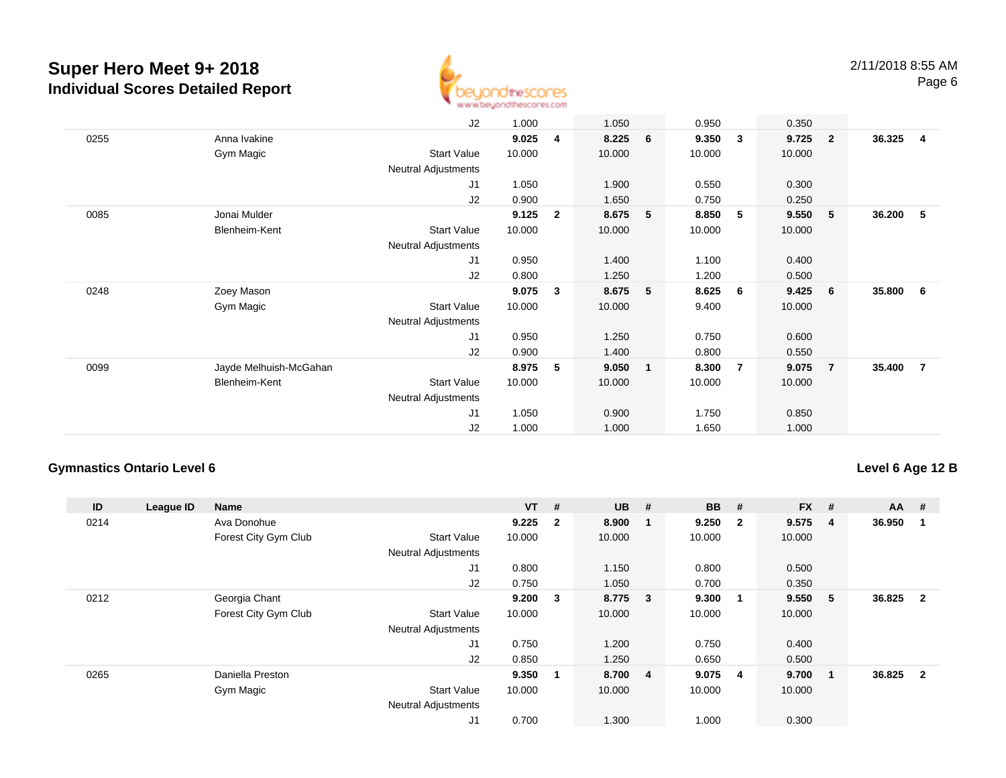

|      |                        | J2                         | 1.000  |                | 1.050  |                 | 0.950  |                         | 0.350  |                         |        |                |
|------|------------------------|----------------------------|--------|----------------|--------|-----------------|--------|-------------------------|--------|-------------------------|--------|----------------|
| 0255 | Anna Ivakine           |                            | 9.025  | 4              | 8.225  | $6\overline{6}$ | 9.350  | $\overline{\mathbf{3}}$ | 9.725  | $\overline{\mathbf{2}}$ | 36.325 | 4              |
|      | Gym Magic              | <b>Start Value</b>         | 10.000 |                | 10.000 |                 | 10.000 |                         | 10.000 |                         |        |                |
|      |                        | Neutral Adjustments        |        |                |        |                 |        |                         |        |                         |        |                |
|      |                        | J1                         | 1.050  |                | 1.900  |                 | 0.550  |                         | 0.300  |                         |        |                |
|      |                        | J2                         | 0.900  |                | 1.650  |                 | 0.750  |                         | 0.250  |                         |        |                |
| 0085 | Jonai Mulder           |                            | 9.125  | $\overline{2}$ | 8.675  | 5               | 8.850  | 5 <sub>5</sub>          | 9.550  | 5                       | 36.200 | -5             |
|      | Blenheim-Kent          | <b>Start Value</b>         | 10.000 |                | 10.000 |                 | 10.000 |                         | 10.000 |                         |        |                |
|      |                        | <b>Neutral Adjustments</b> |        |                |        |                 |        |                         |        |                         |        |                |
|      |                        | J1                         | 0.950  |                | 1.400  |                 | 1.100  |                         | 0.400  |                         |        |                |
|      |                        | J2                         | 0.800  |                | 1.250  |                 | 1.200  |                         | 0.500  |                         |        |                |
| 0248 | Zoey Mason             |                            | 9.075  | 3              | 8.675  | 5               | 8.625  | 6                       | 9.425  | 6                       | 35.800 | - 6            |
|      | Gym Magic              | <b>Start Value</b>         | 10.000 |                | 10.000 |                 | 9.400  |                         | 10.000 |                         |        |                |
|      |                        | <b>Neutral Adjustments</b> |        |                |        |                 |        |                         |        |                         |        |                |
|      |                        | J1                         | 0.950  |                | 1.250  |                 | 0.750  |                         | 0.600  |                         |        |                |
|      |                        | J2                         | 0.900  |                | 1.400  |                 | 0.800  |                         | 0.550  |                         |        |                |
| 0099 | Jayde Melhuish-McGahan |                            | 8.975  | 5              | 9.050  | $\mathbf{1}$    | 8.300  | $\overline{7}$          | 9.075  | $\overline{7}$          | 35.400 | $\overline{7}$ |
|      | Blenheim-Kent          | Start Value                | 10.000 |                | 10.000 |                 | 10.000 |                         | 10.000 |                         |        |                |
|      |                        | Neutral Adjustments        |        |                |        |                 |        |                         |        |                         |        |                |
|      |                        | J <sub>1</sub>             | 1.050  |                | 0.900  |                 | 1.750  |                         | 0.850  |                         |        |                |
|      |                        | J2                         | 1.000  |                | 1.000  |                 | 1.650  |                         | 1.000  |                         |        |                |

### **Gymnastics Ontario Level 6**

### **Level 6 Age 12 B**

| ID   | League ID | <b>Name</b>          |                            | $VT$ # |                | <b>UB</b> | #                       | <b>BB</b> | #                       | <b>FX</b> | #                       | $AA$ # |                |
|------|-----------|----------------------|----------------------------|--------|----------------|-----------|-------------------------|-----------|-------------------------|-----------|-------------------------|--------|----------------|
| 0214 |           | Ava Donohue          |                            | 9.225  | $\overline{2}$ | 8.900     |                         | 9.250     | $\overline{\mathbf{2}}$ | 9.575     | $\overline{\mathbf{4}}$ | 36.950 |                |
|      |           | Forest City Gym Club | <b>Start Value</b>         | 10.000 |                | 10.000    |                         | 10.000    |                         | 10.000    |                         |        |                |
|      |           |                      | <b>Neutral Adjustments</b> |        |                |           |                         |           |                         |           |                         |        |                |
|      |           |                      | J1                         | 0.800  |                | 1.150     |                         | 0.800     |                         | 0.500     |                         |        |                |
|      |           |                      | J2                         | 0.750  |                | 1.050     |                         | 0.700     |                         | 0.350     |                         |        |                |
| 0212 |           | Georgia Chant        |                            | 9.200  | 3              | 8.775     | $\overline{\mathbf{3}}$ | 9.300     | $\overline{\mathbf{1}}$ | 9.550     | 5                       | 36.825 | $\overline{2}$ |
|      |           | Forest City Gym Club | <b>Start Value</b>         | 10.000 |                | 10.000    |                         | 10.000    |                         | 10.000    |                         |        |                |
|      |           |                      | <b>Neutral Adjustments</b> |        |                |           |                         |           |                         |           |                         |        |                |
|      |           |                      | J1                         | 0.750  |                | 1.200     |                         | 0.750     |                         | 0.400     |                         |        |                |
|      |           |                      | J2                         | 0.850  |                | 1.250     |                         | 0.650     |                         | 0.500     |                         |        |                |
| 0265 |           | Daniella Preston     |                            | 9.350  | 1              | 8.700 4   |                         | 9.075     | $\overline{4}$          | 9.700     | $\mathbf{1}$            | 36.825 | $\overline{2}$ |
|      |           | Gym Magic            | <b>Start Value</b>         | 10.000 |                | 10.000    |                         | 10.000    |                         | 10.000    |                         |        |                |
|      |           |                      | <b>Neutral Adjustments</b> |        |                |           |                         |           |                         |           |                         |        |                |
|      |           |                      | J1                         | 0.700  |                | 1.300     |                         | 1.000     |                         | 0.300     |                         |        |                |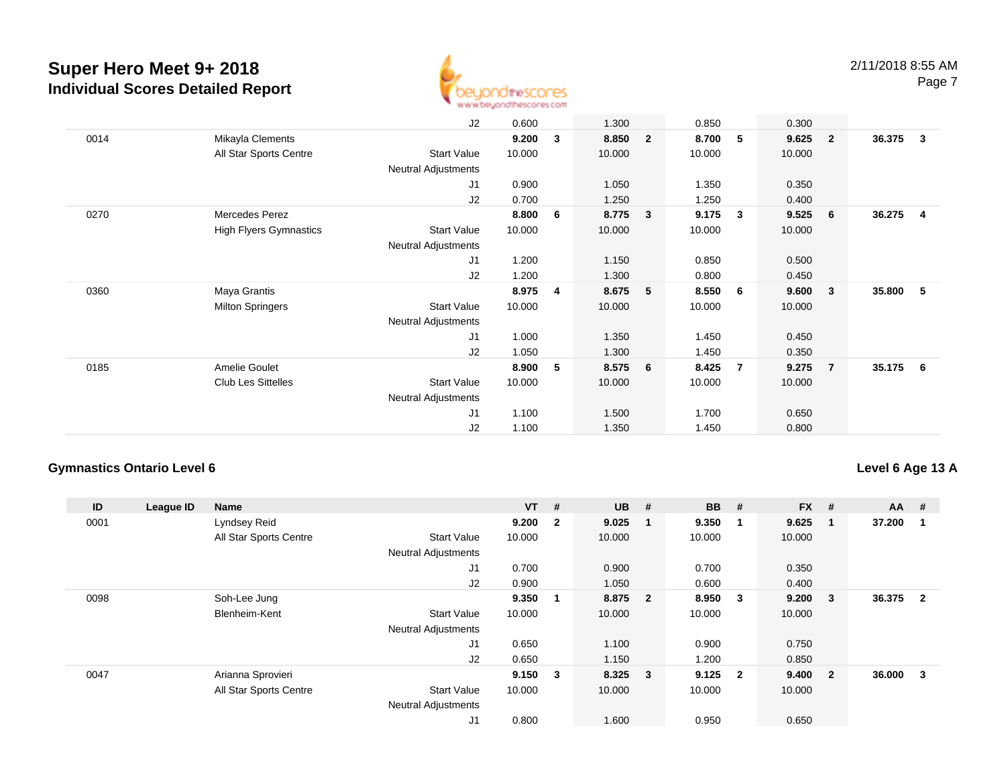

|      |                               | J2                         | 0.600  |     | 1.300  |                         | 0.850  |                          | 0.300  |                         |        |              |
|------|-------------------------------|----------------------------|--------|-----|--------|-------------------------|--------|--------------------------|--------|-------------------------|--------|--------------|
| 0014 | Mikayla Clements              |                            | 9.200  | 3   | 8.850  | $\overline{2}$          | 8.700  | $\overline{\phantom{0}}$ | 9.625  | $\overline{\mathbf{2}}$ | 36.375 | $\mathbf{3}$ |
|      | All Star Sports Centre        | <b>Start Value</b>         | 10.000 |     | 10.000 |                         | 10.000 |                          | 10.000 |                         |        |              |
|      |                               | <b>Neutral Adjustments</b> |        |     |        |                         |        |                          |        |                         |        |              |
|      |                               | J1                         | 0.900  |     | 1.050  |                         | 1.350  |                          | 0.350  |                         |        |              |
|      |                               | J2                         | 0.700  |     | 1.250  |                         | 1.250  |                          | 0.400  |                         |        |              |
| 0270 | Mercedes Perez                |                            | 8.800  | - 6 | 8.775  | $\overline{\mathbf{3}}$ | 9.175  | $\overline{\mathbf{3}}$  | 9.525  | - 6                     | 36.275 | -4           |
|      | <b>High Flyers Gymnastics</b> | <b>Start Value</b>         | 10.000 |     | 10.000 |                         | 10.000 |                          | 10.000 |                         |        |              |
|      |                               | Neutral Adjustments        |        |     |        |                         |        |                          |        |                         |        |              |
|      |                               | J1                         | 1.200  |     | 1.150  |                         | 0.850  |                          | 0.500  |                         |        |              |
|      |                               | J2                         | 1.200  |     | 1.300  |                         | 0.800  |                          | 0.450  |                         |        |              |
| 0360 | Maya Grantis                  |                            | 8.975  | 4   | 8.675  | 5                       | 8.550  | 6                        | 9.600  | $\mathbf{3}$            | 35.800 | 5            |
|      | <b>Milton Springers</b>       | <b>Start Value</b>         | 10.000 |     | 10.000 |                         | 10.000 |                          | 10.000 |                         |        |              |
|      |                               | Neutral Adjustments        |        |     |        |                         |        |                          |        |                         |        |              |
|      |                               | J1                         | 1.000  |     | 1.350  |                         | 1.450  |                          | 0.450  |                         |        |              |
|      |                               | J2                         | 1.050  |     | 1.300  |                         | 1.450  |                          | 0.350  |                         |        |              |
| 0185 | Amelie Goulet                 |                            | 8.900  | 5   | 8.575  | $6\overline{6}$         | 8.425  | $\overline{7}$           | 9.275  | $\overline{7}$          | 35.175 | - 6          |
|      | <b>Club Les Sittelles</b>     | <b>Start Value</b>         | 10.000 |     | 10.000 |                         | 10.000 |                          | 10.000 |                         |        |              |
|      |                               | Neutral Adjustments        |        |     |        |                         |        |                          |        |                         |        |              |
|      |                               | J <sub>1</sub>             | 1.100  |     | 1.500  |                         | 1.700  |                          | 0.650  |                         |        |              |
|      |                               | J <sub>2</sub>             | 1.100  |     | 1.350  |                         | 1.450  |                          | 0.800  |                         |        |              |

### **Gymnastics Ontario Level 6**

### **Level 6 Age 13 A**

| ID   | League ID | Name                   |                            | $VT$ # |                | <b>UB</b> | #                       | <b>BB</b> | #                       | <b>FX</b> | #                       | $AA$ # |                |
|------|-----------|------------------------|----------------------------|--------|----------------|-----------|-------------------------|-----------|-------------------------|-----------|-------------------------|--------|----------------|
| 0001 |           | Lyndsey Reid           |                            | 9.200  | $\overline{2}$ | 9.025     |                         | 9.350     |                         | 9.625     | $\mathbf 1$             | 37.200 |                |
|      |           | All Star Sports Centre | <b>Start Value</b>         | 10.000 |                | 10.000    |                         | 10.000    |                         | 10.000    |                         |        |                |
|      |           |                        | <b>Neutral Adjustments</b> |        |                |           |                         |           |                         |           |                         |        |                |
|      |           |                        | J1                         | 0.700  |                | 0.900     |                         | 0.700     |                         | 0.350     |                         |        |                |
|      |           |                        | J2                         | 0.900  |                | 1.050     |                         | 0.600     |                         | 0.400     |                         |        |                |
| 0098 |           | Soh-Lee Jung           |                            | 9.350  | 1              | 8.875     | $\overline{\mathbf{2}}$ | 8.950     | $\overline{\mathbf{3}}$ | 9.200     | $\mathbf{3}$            | 36.375 | $\overline{2}$ |
|      |           | Blenheim-Kent          | <b>Start Value</b>         | 10.000 |                | 10.000    |                         | 10.000    |                         | 10.000    |                         |        |                |
|      |           |                        | <b>Neutral Adjustments</b> |        |                |           |                         |           |                         |           |                         |        |                |
|      |           |                        | J1                         | 0.650  |                | 1.100     |                         | 0.900     |                         | 0.750     |                         |        |                |
|      |           |                        | J2                         | 0.650  |                | 1.150     |                         | 1.200     |                         | 0.850     |                         |        |                |
| 0047 |           | Arianna Sprovieri      |                            | 9.150  | $\mathbf{3}$   | $8.325$ 3 |                         | 9.125     | $\overline{\mathbf{2}}$ | 9.400     | $\overline{\mathbf{2}}$ | 36.000 | 3              |
|      |           | All Star Sports Centre | <b>Start Value</b>         | 10.000 |                | 10.000    |                         | 10.000    |                         | 10.000    |                         |        |                |
|      |           |                        | <b>Neutral Adjustments</b> |        |                |           |                         |           |                         |           |                         |        |                |
|      |           |                        | J1                         | 0.800  |                | 1.600     |                         | 0.950     |                         | 0.650     |                         |        |                |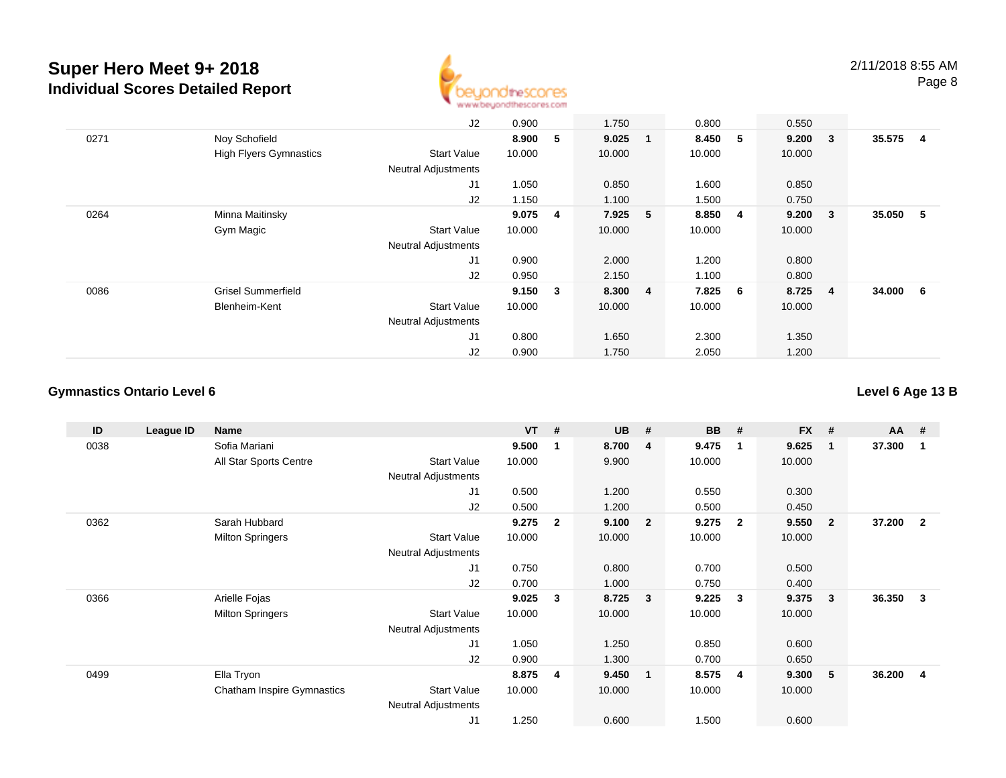

|      |                               | J2                         | 0.900  |                | 1.750   |     | 0.800   |                         | 0.550  |                         |        |                |
|------|-------------------------------|----------------------------|--------|----------------|---------|-----|---------|-------------------------|--------|-------------------------|--------|----------------|
| 0271 | Noy Schofield                 |                            | 8.900  | 5              | 9.025   | - 1 | 8.450   | 5                       | 9.200  | $\overline{\mathbf{3}}$ | 35.575 | $\overline{4}$ |
|      | <b>High Flyers Gymnastics</b> | <b>Start Value</b>         | 10.000 |                | 10.000  |     | 10.000  |                         | 10.000 |                         |        |                |
|      |                               | <b>Neutral Adjustments</b> |        |                |         |     |         |                         |        |                         |        |                |
|      |                               | J1                         | 1.050  |                | 0.850   |     | 1.600   |                         | 0.850  |                         |        |                |
|      |                               | J2                         | 1.150  |                | 1.100   |     | 1.500   |                         | 0.750  |                         |        |                |
| 0264 | Minna Maitinsky               |                            | 9.075  | $\overline{4}$ | 7.925 5 |     | 8.850   | $\overline{\mathbf{4}}$ | 9.200  | $\overline{\mathbf{3}}$ | 35.050 | - 5            |
|      | Gym Magic                     | <b>Start Value</b>         | 10.000 |                | 10.000  |     | 10.000  |                         | 10.000 |                         |        |                |
|      |                               | <b>Neutral Adjustments</b> |        |                |         |     |         |                         |        |                         |        |                |
|      |                               | J <sub>1</sub>             | 0.900  |                | 2.000   |     | 1.200   |                         | 0.800  |                         |        |                |
|      |                               | J2                         | 0.950  |                | 2.150   |     | 1.100   |                         | 0.800  |                         |        |                |
| 0086 | <b>Grisel Summerfield</b>     |                            | 9.150  | $\mathbf{3}$   | 8.300 4 |     | 7.825 6 |                         | 8.725  | $\overline{\mathbf{4}}$ | 34.000 | - 6            |
|      | Blenheim-Kent                 | <b>Start Value</b>         | 10.000 |                | 10.000  |     | 10.000  |                         | 10.000 |                         |        |                |
|      |                               | <b>Neutral Adjustments</b> |        |                |         |     |         |                         |        |                         |        |                |
|      |                               | J1                         | 0.800  |                | 1.650   |     | 2.300   |                         | 1.350  |                         |        |                |
|      |                               | J2                         | 0.900  |                | 1.750   |     | 2.050   |                         | 1.200  |                         |        |                |

### **Gymnastics Ontario Level 6**

**Level 6 Age 13 B**

| ID   | League ID | <b>Name</b>                       |                            | <b>VT</b> | #              | <b>UB</b> | #                       | <b>BB</b> | #              | <b>FX</b> | #              | <b>AA</b> | #              |
|------|-----------|-----------------------------------|----------------------------|-----------|----------------|-----------|-------------------------|-----------|----------------|-----------|----------------|-----------|----------------|
| 0038 |           | Sofia Mariani                     |                            | 9.500     | -1             | 8.700     | $\overline{4}$          | 9.475     | -1             | 9.625     | $\mathbf 1$    | 37.300    |                |
|      |           | All Star Sports Centre            | <b>Start Value</b>         | 10.000    |                | 9.900     |                         | 10.000    |                | 10.000    |                |           |                |
|      |           |                                   | Neutral Adjustments        |           |                |           |                         |           |                |           |                |           |                |
|      |           |                                   | J <sub>1</sub>             | 0.500     |                | 1.200     |                         | 0.550     |                | 0.300     |                |           |                |
|      |           |                                   | J2                         | 0.500     |                | 1.200     |                         | 0.500     |                | 0.450     |                |           |                |
| 0362 |           | Sarah Hubbard                     |                            | 9.275     | $\overline{2}$ | 9.100     | $\overline{\mathbf{2}}$ | 9.275     | $\overline{2}$ | 9.550     | $\overline{2}$ | 37.200    | $\overline{2}$ |
|      |           | <b>Milton Springers</b>           | <b>Start Value</b>         | 10.000    |                | 10.000    |                         | 10.000    |                | 10.000    |                |           |                |
|      |           |                                   | <b>Neutral Adjustments</b> |           |                |           |                         |           |                |           |                |           |                |
|      |           |                                   | J1                         | 0.750     |                | 0.800     |                         | 0.700     |                | 0.500     |                |           |                |
|      |           |                                   | J2                         | 0.700     |                | 1.000     |                         | 0.750     |                | 0.400     |                |           |                |
| 0366 |           | Arielle Fojas                     |                            | 9.025     | $\mathbf{3}$   | 8.725     | - 3                     | 9.225     | 3              | 9.375     | 3              | 36.350    | 3              |
|      |           | <b>Milton Springers</b>           | <b>Start Value</b>         | 10.000    |                | 10.000    |                         | 10.000    |                | 10.000    |                |           |                |
|      |           |                                   | Neutral Adjustments        |           |                |           |                         |           |                |           |                |           |                |
|      |           |                                   | J <sub>1</sub>             | 1.050     |                | 1.250     |                         | 0.850     |                | 0.600     |                |           |                |
|      |           |                                   | J2                         | 0.900     |                | 1.300     |                         | 0.700     |                | 0.650     |                |           |                |
| 0499 |           | Ella Tryon                        |                            | 8.875     | $\overline{4}$ | 9.450     | -1                      | 8.575     | 4              | 9.300     | 5              | 36.200    | 4              |
|      |           | <b>Chatham Inspire Gymnastics</b> | Start Value                | 10.000    |                | 10.000    |                         | 10.000    |                | 10.000    |                |           |                |
|      |           |                                   | <b>Neutral Adjustments</b> |           |                |           |                         |           |                |           |                |           |                |
|      |           |                                   | J1                         | 1.250     |                | 0.600     |                         | 1.500     |                | 0.600     |                |           |                |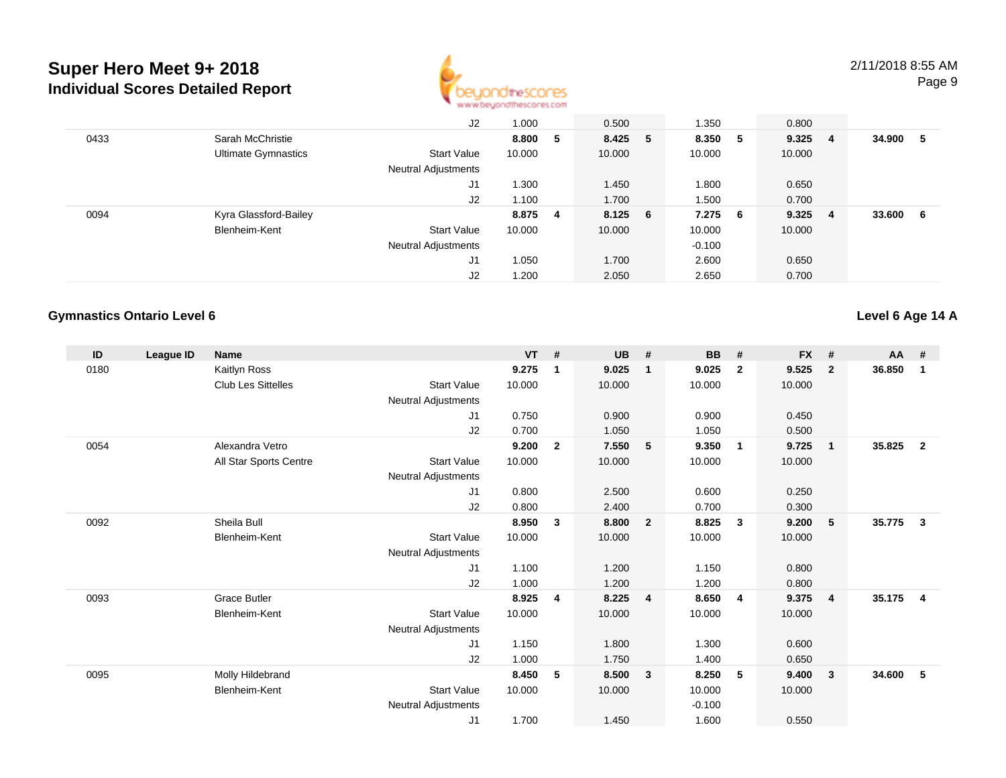

|      |                            | J2                         | 1.000   |   | 0.500     | 1.350    |     | 0.800  |                         |        |    |
|------|----------------------------|----------------------------|---------|---|-----------|----------|-----|--------|-------------------------|--------|----|
| 0433 | Sarah McChristie           |                            | 8.800   | 5 | 8.425 5   | 8.350 5  |     | 9.325  | $\overline{4}$          | 34.900 | 5  |
|      | <b>Ultimate Gymnastics</b> | <b>Start Value</b>         | 10.000  |   | 10.000    | 10.000   |     | 10.000 |                         |        |    |
|      |                            | <b>Neutral Adjustments</b> |         |   |           |          |     |        |                         |        |    |
|      |                            | J1                         | 1.300   |   | 1.450     | 1.800    |     | 0.650  |                         |        |    |
|      |                            | J2                         | 1.100   |   | 1.700     | 1.500    |     | 0.700  |                         |        |    |
| 0094 | Kyra Glassford-Bailey      |                            | 8.875 4 |   | $8.125$ 6 | 7.275    | - 6 | 9.325  | $\overline{\mathbf{4}}$ | 33.600 | -6 |
|      | Blenheim-Kent              | <b>Start Value</b>         | 10.000  |   | 10.000    | 10.000   |     | 10.000 |                         |        |    |
|      |                            | <b>Neutral Adjustments</b> |         |   |           | $-0.100$ |     |        |                         |        |    |
|      |                            | J1                         | 1.050   |   | 1.700     | 2.600    |     | 0.650  |                         |        |    |
|      |                            | J <sub>2</sub>             | 1.200   |   | 2.050     | 2.650    |     | 0.700  |                         |        |    |

#### **Gymnastics Ontario Level 6**

**Level 6 Age 14 A**

| ID   | League ID | Name                      |                            | <b>VT</b> | #              | <b>UB</b> | #                       | <b>BB</b> | #                       | <b>FX</b> | #            | <b>AA</b> | #              |
|------|-----------|---------------------------|----------------------------|-----------|----------------|-----------|-------------------------|-----------|-------------------------|-----------|--------------|-----------|----------------|
| 0180 |           | Kaitlyn Ross              |                            | 9.275     | $\mathbf{1}$   | 9.025     | $\overline{\mathbf{1}}$ | 9.025     | $\overline{2}$          | 9.525     | $\mathbf{2}$ | 36.850    | 1              |
|      |           | <b>Club Les Sittelles</b> | <b>Start Value</b>         | 10.000    |                | 10.000    |                         | 10.000    |                         | 10.000    |              |           |                |
|      |           |                           | <b>Neutral Adjustments</b> |           |                |           |                         |           |                         |           |              |           |                |
|      |           |                           | J <sub>1</sub>             | 0.750     |                | 0.900     |                         | 0.900     |                         | 0.450     |              |           |                |
|      |           |                           | J2                         | 0.700     |                | 1.050     |                         | 1.050     |                         | 0.500     |              |           |                |
| 0054 |           | Alexandra Vetro           |                            | 9.200     | $\overline{2}$ | 7.550     | 5                       | 9.350     | $\overline{\mathbf{1}}$ | 9.725     | $\mathbf{1}$ | 35.825    | $\overline{2}$ |
|      |           | All Star Sports Centre    | <b>Start Value</b>         | 10.000    |                | 10.000    |                         | 10.000    |                         | 10.000    |              |           |                |
|      |           |                           | Neutral Adjustments        |           |                |           |                         |           |                         |           |              |           |                |
|      |           |                           | J <sub>1</sub>             | 0.800     |                | 2.500     |                         | 0.600     |                         | 0.250     |              |           |                |
|      |           |                           | J2                         | 0.800     |                | 2.400     |                         | 0.700     |                         | 0.300     |              |           |                |
| 0092 |           | Sheila Bull               |                            | 8.950     | $\mathbf{3}$   | 8.800     | $\overline{\mathbf{2}}$ | 8.825     | $\overline{\mathbf{3}}$ | 9.200     | 5            | 35.775    | 3              |
|      |           | Blenheim-Kent             | <b>Start Value</b>         | 10.000    |                | 10.000    |                         | 10.000    |                         | 10.000    |              |           |                |
|      |           |                           | Neutral Adjustments        |           |                |           |                         |           |                         |           |              |           |                |
|      |           |                           | J <sub>1</sub>             | 1.100     |                | 1.200     |                         | 1.150     |                         | 0.800     |              |           |                |
|      |           |                           | J2                         | 1.000     |                | 1.200     |                         | 1.200     |                         | 0.800     |              |           |                |
| 0093 |           | <b>Grace Butler</b>       |                            | 8.925     | 4              | 8.225     | $\overline{4}$          | 8.650     | -4                      | 9.375     | 4            | 35.175    | $\overline{4}$ |
|      |           | Blenheim-Kent             | <b>Start Value</b>         | 10.000    |                | 10.000    |                         | 10.000    |                         | 10.000    |              |           |                |
|      |           |                           | Neutral Adjustments        |           |                |           |                         |           |                         |           |              |           |                |
|      |           |                           | J <sub>1</sub>             | 1.150     |                | 1.800     |                         | 1.300     |                         | 0.600     |              |           |                |
|      |           |                           | J2                         | 1.000     |                | 1.750     |                         | 1.400     |                         | 0.650     |              |           |                |
| 0095 |           | Molly Hildebrand          |                            | 8.450     | 5              | 8.500     | $\mathbf{3}$            | 8.250     | 5                       | 9.400     | $\mathbf{3}$ | 34.600    | 5              |
|      |           | Blenheim-Kent             | <b>Start Value</b>         | 10.000    |                | 10.000    |                         | 10.000    |                         | 10.000    |              |           |                |
|      |           |                           | Neutral Adjustments        |           |                |           |                         | $-0.100$  |                         |           |              |           |                |
|      |           |                           | J <sub>1</sub>             | 1.700     |                | 1.450     |                         | 1.600     |                         | 0.550     |              |           |                |